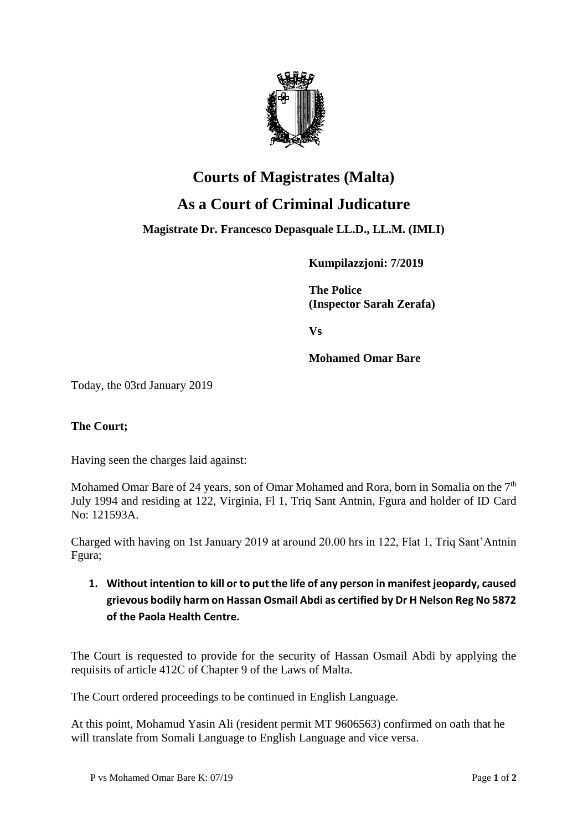

## **Courts of Magistrates (Malta) As a Court of Criminal Judicature**

**Magistrate Dr. Francesco Depasquale LL.D., LL.M. (IMLI)**

**Kumpilazzjoni: 7/2019**

**The Police (Inspector Sarah Zerafa)**

**Vs**

**Mohamed Omar Bare**

Today, the 03rd January 2019

## **The Court;**

Having seen the charges laid against:

Mohamed Omar Bare of 24 years, son of Omar Mohamed and Rora, born in Somalia on the  $7<sup>th</sup>$ July 1994 and residing at 122, Virginia, Fl 1, Triq Sant Antnin, Fgura and holder of ID Card No: 121593A.

Charged with having on 1st January 2019 at around 20.00 hrs in 122, Flat 1, Triq Sant'Antnin Fgura;

## **1. Without intention to kill or to put the life of any person in manifest jeopardy, caused grievous bodily harm on Hassan Osmail Abdi as certified by Dr H Nelson Reg No 5872 of the Paola Health Centre.**

The Court is requested to provide for the security of Hassan Osmail Abdi by applying the requisits of article 412C of Chapter 9 of the Laws of Malta.

The Court ordered proceedings to be continued in English Language.

At this point, Mohamud Yasin Ali (resident permit MT 9606563) confirmed on oath that he will translate from Somali Language to English Language and vice versa.